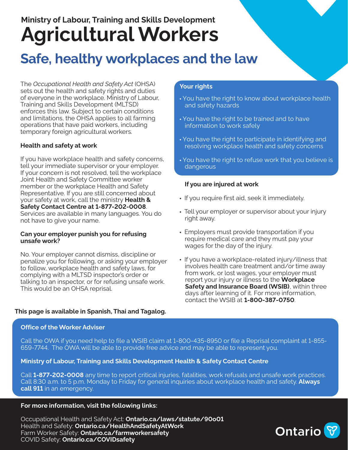## **Ministry of Labour, Training and Skills Development Agricultural Workers**

## **Safe, healthy workplaces and the law**

The *Occupational Health and Safety Act* (OHSA) sets out the health and safety rights and duties of everyone in the workplace. Ministry of Labour, Training and Skills Development (MLTSD) enforces this law. Subject to certain conditions and limitations, the OHSA applies to all farming operations that have paid workers, including temporary foreign agricultural workers.

#### **Health and safety at work**

If you have workplace health and safety concerns, tell your immediate supervisor or your employer. If your concern is not resolved, tell the workplace Joint Health and Safety Committee worker member or the workplace Health and Safety Representative. If you are still concerned about your safety at work, call the ministry **Health & Safety Contact Centre at 1-877-202-0008**. Services are available in many languages. You do not have to give your name.

#### **Can your employer punish you for refusing unsafe work?**

No. Your employer cannot dismiss, discipline or penalize you for following, or asking your employer to follow, workplace health and safety laws, for complying with a MLTSD inspector's order or talking to an inspector, or for refusing unsafe work. This would be an OHSA reprisal.

#### **This page is available in Spanish, Thai and Tagalog.**

#### **Office of the Worker Adviser**

#### **Your rights**

- **•** You have the right to know about workplace health and safety hazards
- **•** You have the right to be trained and to have information to work safely
- **•** You have the right to participate in identifying and resolving workplace health and safety concerns
- **•** You have the right to refuse work that you believe is dangerous

#### **If you are injured at work**

- **•** If you require first aid, seek it immediately.
- **•** Tell your employer or supervisor about your injury right away.
- **•** Employers must provide transportation if you require medical care and they must pay your wages for the day of the injury.
- **•** If you have a workplace-related injury/illness that involves health care treatment and/or time away from work, or lost wages, your employer must report your injury or illness to the **Workplace Safety and Insurance Board (WSIB)**, within three days after learning of it. For more information, contact the WSIB at **1-800-387-0750**.

Call the OWA if you need help to file a WSIB claim at 1-800-435-8950 or file a Reprisal complaint at 1-855- 659-7744. The OWA will be able to provide free advice and may be able to represent you.

#### **Ministry of Labour, Training and Skills Development Health & Safety Contact Centre**

Call **1-877-202-0008** any time to report critical injuries, fatalities, work refusals and unsafe work practices. Call 8:30 a.m. to 5 p.m. Monday to Friday for general inquiries about workplace health and safety. **Always call 911** in an emergency.

#### **For more information, visit the following links:**

Occupational Health and Safety Act: **[Ontario.ca/laws/statute/90o01](http://Ontario.ca/laws/statute/90o01)**  Health and Safety: **[Ontario.ca/HealthAndSafetyAtWork](http://Ontario.ca/HealthAndSafetyAtWork)**  Farm Worker Safety: **[Ontario.ca/farmworkersafety](http://Ontario.ca/farmworkersafety)**  COVID Safety: **[Ontario.ca/COVIDsafety](http://Ontario.ca/COVIDsafety)**